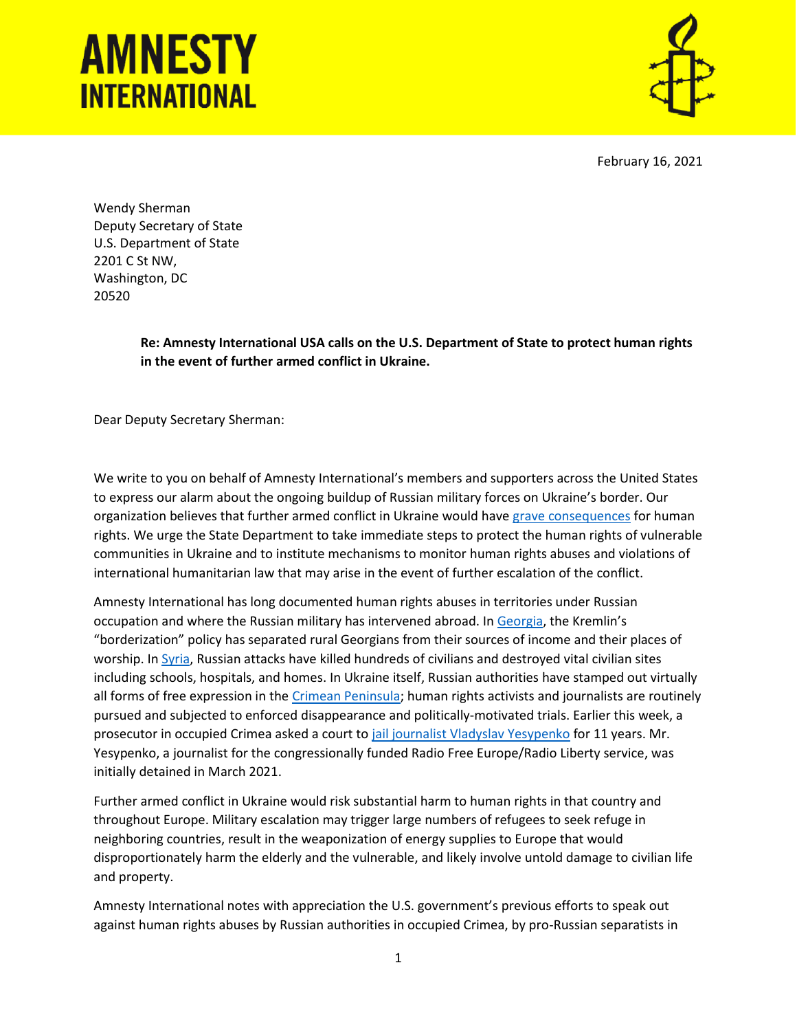## **AMNESTY INTERNATIONAL**



February 16, 2021

Wendy Sherman Deputy Secretary of State U.S. Department of State 2201 C St NW, Washington, DC 20520

> **Re: Amnesty International USA calls on the U.S. Department of State to protect human rights in the event of further armed conflict in Ukraine.**

Dear Deputy Secretary Sherman:

We write to you on behalf of Amnesty International's members and supporters across the United States to express our alarm about the ongoing buildup of Russian military forces on Ukraine's border. Our organization believes that further armed conflict in Ukraine would have [grave consequences](https://www.amnesty.org/en/latest/news/2022/01/further-armed-conflict-in-ukraine-would-have-devastating-consequences-for-the-human-rights-of-millions/) for human rights. We urge the State Department to take immediate steps to protect the human rights of vulnerable communities in Ukraine and to institute mechanisms to monitor human rights abuses and violations of international humanitarian law that may arise in the event of further escalation of the conflict.

Amnesty International has long documented human rights abuses in territories under Russian occupation and where the Russian military has intervened abroad. In [Georgia,](https://www.amnesty.org/en/documents/eur56/0581/2019/en/) the Kremlin's "borderization" policy has separated rural Georgians from their sources of income and their places of worship. In [Syria,](https://www.amnesty.org/en/documents/mde24/3113/2015/en/) Russian attacks have killed hundreds of civilians and destroyed vital civilian sites including schools, hospitals, and homes. In Ukraine itself, Russian authorities have stamped out virtually all forms of free expression in the [Crimean Peninsula;](https://www.amnesty.org/en/latest/news/2016/12/crimea-in-the-dark-the-silencing-of-dissent/) human rights activists and journalists are routinely pursued and subjected to enforced disappearance and politically-motivated trials. Earlier this week, a prosecutor in occupied Crimea asked a court t[o jail journalist Vladyslav Yesypenko](https://www.rferl.org/a/russia-yesypenko-crimea-amnesty-petition/31596171.html) for 11 years. Mr. Yesypenko, a journalist for the congressionally funded Radio Free Europe/Radio Liberty service, was initially detained in March 2021.

Further armed conflict in Ukraine would risk substantial harm to human rights in that country and throughout Europe. Military escalation may trigger large numbers of refugees to seek refuge in neighboring countries, result in the weaponization of energy supplies to Europe that would disproportionately harm the elderly and the vulnerable, and likely involve untold damage to civilian life and property.

Amnesty International notes with appreciation the U.S. government's previous efforts to speak out against human rights abuses by Russian authorities in occupied Crimea, by pro-Russian separatists in